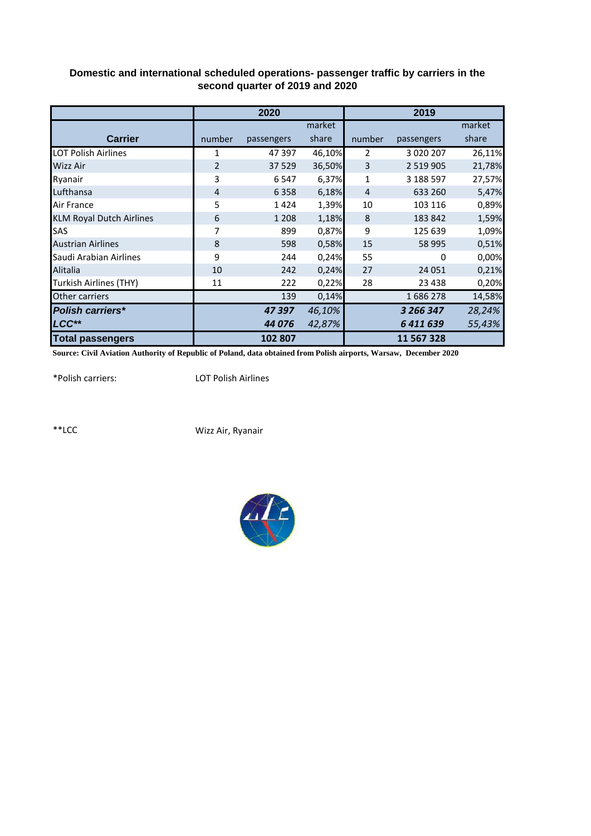|                                 |        | 2020       |        |        | 2019          |        |
|---------------------------------|--------|------------|--------|--------|---------------|--------|
|                                 |        |            | market |        |               | market |
| <b>Carrier</b>                  | number | passengers | share  | number | passengers    | share  |
| <b>LOT Polish Airlines</b>      | 1      | 47 397     | 46,10% | 2      | 3 0 2 0 2 0 7 | 26,11% |
| <b>Wizz Air</b>                 | 2      | 37 5 29    | 36,50% | 3      | 2 5 1 9 9 0 5 | 21,78% |
| Ryanair                         | 3      | 6547       | 6,37%  | 1      | 3 188 597     | 27,57% |
| Lufthansa                       | 4      | 6358       | 6,18%  | 4      | 633 260       | 5,47%  |
| Air France                      | 5      | 1424       | 1,39%  | 10     | 103 116       | 0,89%  |
| <b>KLM Royal Dutch Airlines</b> | 6      | 1 2 0 8    | 1,18%  | 8      | 183 842       | 1,59%  |
| SAS                             | 7      | 899        | 0,87%  | 9      | 125 639       | 1,09%  |
| <b>Austrian Airlines</b>        | 8      | 598        | 0,58%  | 15     | 58 995        | 0,51%  |
| Saudi Arabian Airlines          | 9      | 244        | 0,24%  | 55     | 0             | 0,00%  |
| Alitalia                        | 10     | 242        | 0,24%  | 27     | 24 051        | 0,21%  |
| Turkish Airlines (THY)          | 11     | 222        | 0,22%  | 28     | 23 4 38       | 0,20%  |
| Other carriers                  |        | 139        | 0,14%  |        | 1686278       | 14,58% |
| <b>Polish carriers*</b>         |        | 47397      | 46,10% |        | 3 266 347     | 28,24% |
| LCC**                           |        | 44 076     | 42,87% |        | 6411639       | 55,43% |
| <b>Total passengers</b>         |        | 102 807    |        |        | 11 567 328    |        |

## **Domestic and international scheduled operations- passenger traffic by carriers in the second quarter of 2019 and 2020**

**Source: Civil Aviation Authority of Republic of Poland, data obtained from Polish airports, Warsaw, December 2020**

\*Polish carriers:

LOT Polish Airlines

\*\*LCC

Wizz Air, Ryanair